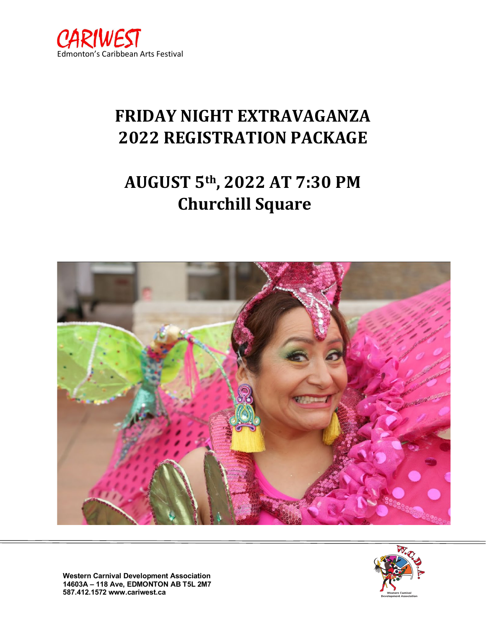

# **FRIDAY NIGHT EXTRAVAGANZA 2022 REGISTRATION PACKAGE**

# **AUGUST 5th, 2022 AT 7:30 PM Churchill Square**





**Western Carnival Development Association 14603A – 118 Ave, EDMONTON AB T5L 2M7 587.412.1572 www.cariwest.ca**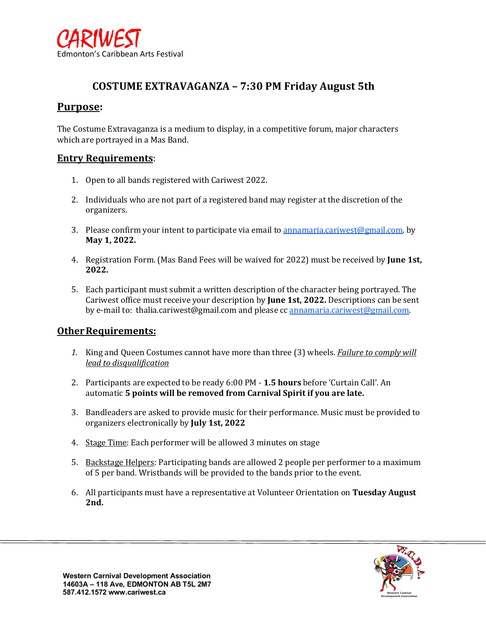

### **COSTUME EXTRAVAGANZA – 7:30 PM Friday August 5th**

### **Purpose:**

The Costume Extravaganza is a medium to display, in a competitive forum, major characters which are portrayed in a Mas Band.

#### **Entry Requirements**:

- 1. Open to all bands registered with Cariwest 2022.
- 2. Individuals who are not part of a registered band may register at the discretion of the organizers.
- 3. Please confirm your intent to participate via email to [annamaria.cariwest@gmail.com.](mailto:annamaria.cariwest@gmail.com) by **May 1, 2022.**
- 4. Registration Form. (Mas Band Fees will be waived for 2022) must be received by **June 1st, 2022.**
- 5. Each participant must submit a written description of the character being portrayed. The Cariwest office must receive your description by **June 1st, 2022.** Descriptions can be sent by e-mail to: thalia.cariwest@gmail.com and please cc [annamaria.cariwest@gmail.com.](mailto:annamaria.cariwest@gmail.com)

#### **Other Requirements:**

- *1.* King and Queen Costumes cannot have more than three (3) wheels. *Failure to comply will lead to disqualification*
- 2. Participants are expected to be ready 6:00 PM **1.5 hours** before 'Curtain Call'. An automatic **5 points will be removed from Carnival Spirit if you are late.**
- 3. Bandleaders are asked to provide music for their performance. Music must be provided to organizers electronically by **July 1st, 2022**
- 4. Stage Time: Each performer will be allowed 3 minutes on stage
- 5. Backstage Helpers: Participating bands are allowed 2 people per performer to a maximum of 5 per band. Wristbands will be provided to the bands prior to the event.
- 6. All participants must have a representative at Volunteer Orientation on **Tuesday August 2nd.**

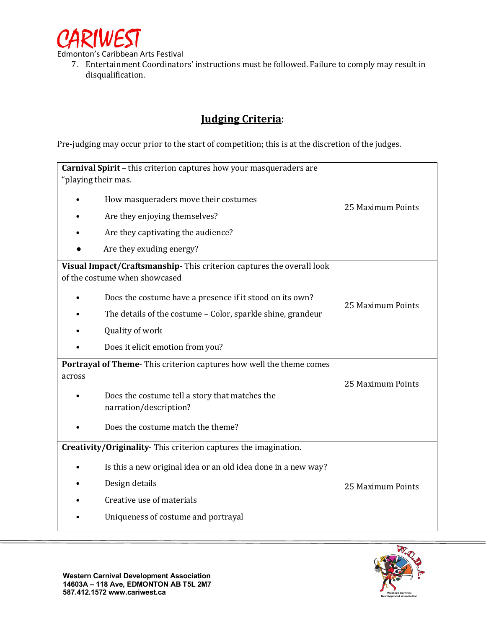

Edmonton's Caribbean Arts Festival

7. Entertainment Coordinators' instructions must be followed. Failure to comply may result in disqualification.

# **Judging Criteria**:

Pre-judging may occur prior to the start of competition; this is at the discretion of the judges.

| Carnival Spirit - this criterion captures how your masqueraders are<br>"playing their mas.            |                   |  |  |  |
|-------------------------------------------------------------------------------------------------------|-------------------|--|--|--|
| How masqueraders move their costumes                                                                  |                   |  |  |  |
| Are they enjoying themselves?                                                                         | 25 Maximum Points |  |  |  |
| Are they captivating the audience?                                                                    |                   |  |  |  |
| Are they exuding energy?                                                                              |                   |  |  |  |
| Visual Impact/Craftsmanship-This criterion captures the overall look<br>of the costume when showcased |                   |  |  |  |
| Does the costume have a presence if it stood on its own?                                              |                   |  |  |  |
| The details of the costume - Color, sparkle shine, grandeur                                           | 25 Maximum Points |  |  |  |
| Quality of work                                                                                       |                   |  |  |  |
| Does it elicit emotion from you?                                                                      |                   |  |  |  |
| Portrayal of Theme-This criterion captures how well the theme comes                                   |                   |  |  |  |
| across                                                                                                | 25 Maximum Points |  |  |  |
| Does the costume tell a story that matches the<br>narration/description?                              |                   |  |  |  |
| Does the costume match the theme?                                                                     |                   |  |  |  |
| Creativity/Originality-This criterion captures the imagination.                                       |                   |  |  |  |
| Is this a new original idea or an old idea done in a new way?                                         |                   |  |  |  |
| Design details                                                                                        | 25 Maximum Points |  |  |  |
| Creative use of materials                                                                             |                   |  |  |  |
| Uniqueness of costume and portrayal                                                                   |                   |  |  |  |

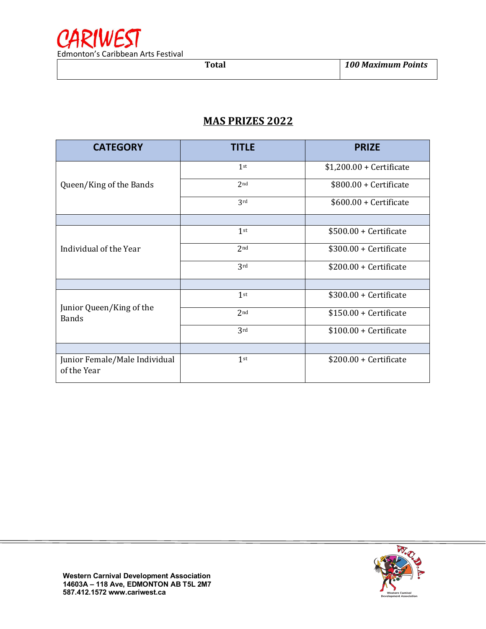

## **MAS PRIZES 2022**

| <b>CATEGORY</b>                              | <b>TITLE</b>    | <b>PRIZE</b>              |  |
|----------------------------------------------|-----------------|---------------------------|--|
|                                              | 1 <sup>st</sup> | $$1,200.00 +$ Certificate |  |
| Queen/King of the Bands                      | 2 <sub>nd</sub> | $$800.00 +$ Certificate   |  |
|                                              | 3rd             | \$600.00 + Certificate    |  |
|                                              |                 |                           |  |
| Individual of the Year                       | 1 <sup>st</sup> | $$500.00 +$ Certificate   |  |
|                                              | 2 <sub>nd</sub> | $$300.00 +$ Certificate   |  |
|                                              | 3rd             | $$200.00 +$ Certificate   |  |
|                                              |                 |                           |  |
| Junior Queen/King of the<br><b>Bands</b>     | 1 <sup>st</sup> | \$300.00 + Certificate    |  |
|                                              | 2 <sub>nd</sub> | $$150.00 +$ Certificate   |  |
|                                              | 3rd             | $$100.00 +$ Certificate   |  |
|                                              |                 |                           |  |
| Junior Female/Male Individual<br>of the Year | $1$ st          | $$200.00 +$ Certificate   |  |

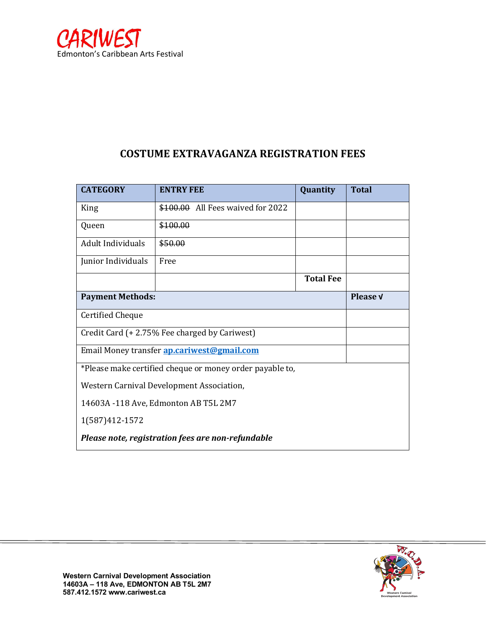

# **COSTUME EXTRAVAGANZA REGISTRATION FEES**

| <b>CATEGORY</b>                                          | <b>ENTRY FEE</b>                                  | Quantity         | <b>Total</b> |  |
|----------------------------------------------------------|---------------------------------------------------|------------------|--------------|--|
| King                                                     | \$100.00 All Fees waived for 2022                 |                  |              |  |
| Queen                                                    | \$100.00                                          |                  |              |  |
| Adult Individuals                                        | \$50.00                                           |                  |              |  |
| Junior Individuals                                       | Free                                              |                  |              |  |
|                                                          |                                                   | <b>Total Fee</b> |              |  |
| <b>Payment Methods:</b>                                  |                                                   |                  | Please v     |  |
| <b>Certified Cheque</b>                                  |                                                   |                  |              |  |
|                                                          | Credit Card (+2.75% Fee charged by Cariwest)      |                  |              |  |
|                                                          | Email Money transfer <b>ap.cariwest@gmail.com</b> |                  |              |  |
| *Please make certified cheque or money order payable to, |                                                   |                  |              |  |
| Western Carnival Development Association,                |                                                   |                  |              |  |
| 14603A -118 Ave, Edmonton AB T5L 2M7                     |                                                   |                  |              |  |
| 1(587)412-1572                                           |                                                   |                  |              |  |
| Please note, registration fees are non-refundable        |                                                   |                  |              |  |